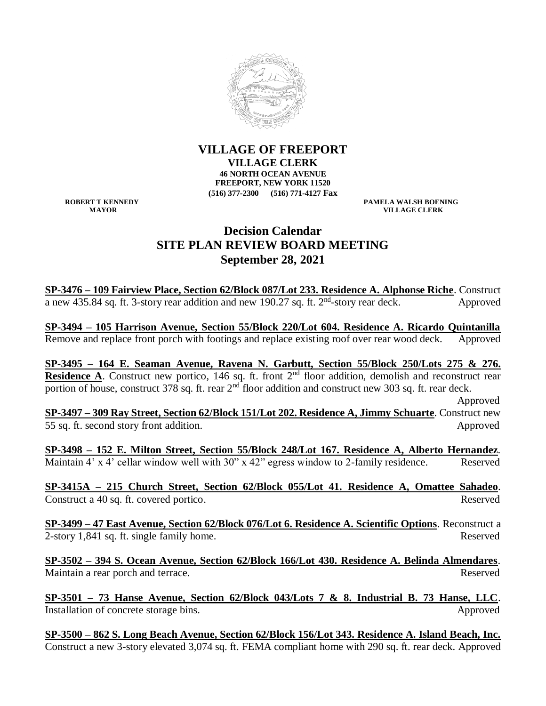

**VILLAGE OF FREEPORT VILLAGE CLERK 46 NORTH OCEAN AVENUE FREEPORT, NEW YORK 11520 (516) 377-2300 (516) 771-4127 Fax**

**ROBERT T KENNEDY PAMELA WALSH BOENING VILLAGE CLERK** 

## **Decision Calendar SITE PLAN REVIEW BOARD MEETING September 28, 2021**

**SP-3476 – 109 Fairview Place, Section 62/Block 087/Lot 233. Residence A. Alphonse Riche**. Construct a new 435.84 sq. ft. 3-story rear addition and new 190.27 sq. ft.  $2<sup>nd</sup>$ -story rear deck. Approved

**SP-3494 – 105 Harrison Avenue, Section 55/Block 220/Lot 604. Residence A. Ricardo Quintanilla** Remove and replace front porch with footings and replace existing roof over rear wood deck. Approved

**SP-3495 – 164 E. Seaman Avenue, Ravena N. Garbutt, Section 55/Block 250/Lots 275 & 276. Residence A**. Construct new portico, 146 sq. ft. front 2<sup>nd</sup> floor addition, demolish and reconstruct rear portion of house, construct 378 sq. ft. rear  $2<sup>nd</sup>$  floor addition and construct new 303 sq. ft. rear deck.

 Approved **SP-3497 – 309 Ray Street, Section 62/Block 151/Lot 202. Residence A, Jimmy Schuarte**. Construct new 55 sq. ft. second story front addition. Approved

**SP-3498 – 152 E. Milton Street, Section 55/Block 248/Lot 167. Residence A, Alberto Hernandez**. Maintain 4' x 4' cellar window well with 30" x 42" egress window to 2-family residence. Reserved

**SP-3415A – 215 Church Street, Section 62/Block 055/Lot 41. Residence A, Omattee Sahadeo**. Construct a 40 sq. ft. covered portico. Reserved

**SP-3499 – 47 East Avenue, Section 62/Block 076/Lot 6. Residence A. Scientific Options**. Reconstruct a 2-story 1,841 sq. ft. single family home. Reserved

**SP-3502 – 394 S. Ocean Avenue, Section 62/Block 166/Lot 430. Residence A. Belinda Almendares**. Maintain a rear porch and terrace. The served state of the served state and terrace and terrace and terrace of the served

**SP-3501 – 73 Hanse Avenue, Section 62/Block 043/Lots 7 & 8. Industrial B. 73 Hanse, LLC**. Installation of concrete storage bins. Approved

**SP-3500 – 862 S. Long Beach Avenue, Section 62/Block 156/Lot 343. Residence A. Island Beach, Inc.** Construct a new 3-story elevated 3,074 sq. ft. FEMA compliant home with 290 sq. ft. rear deck. Approved